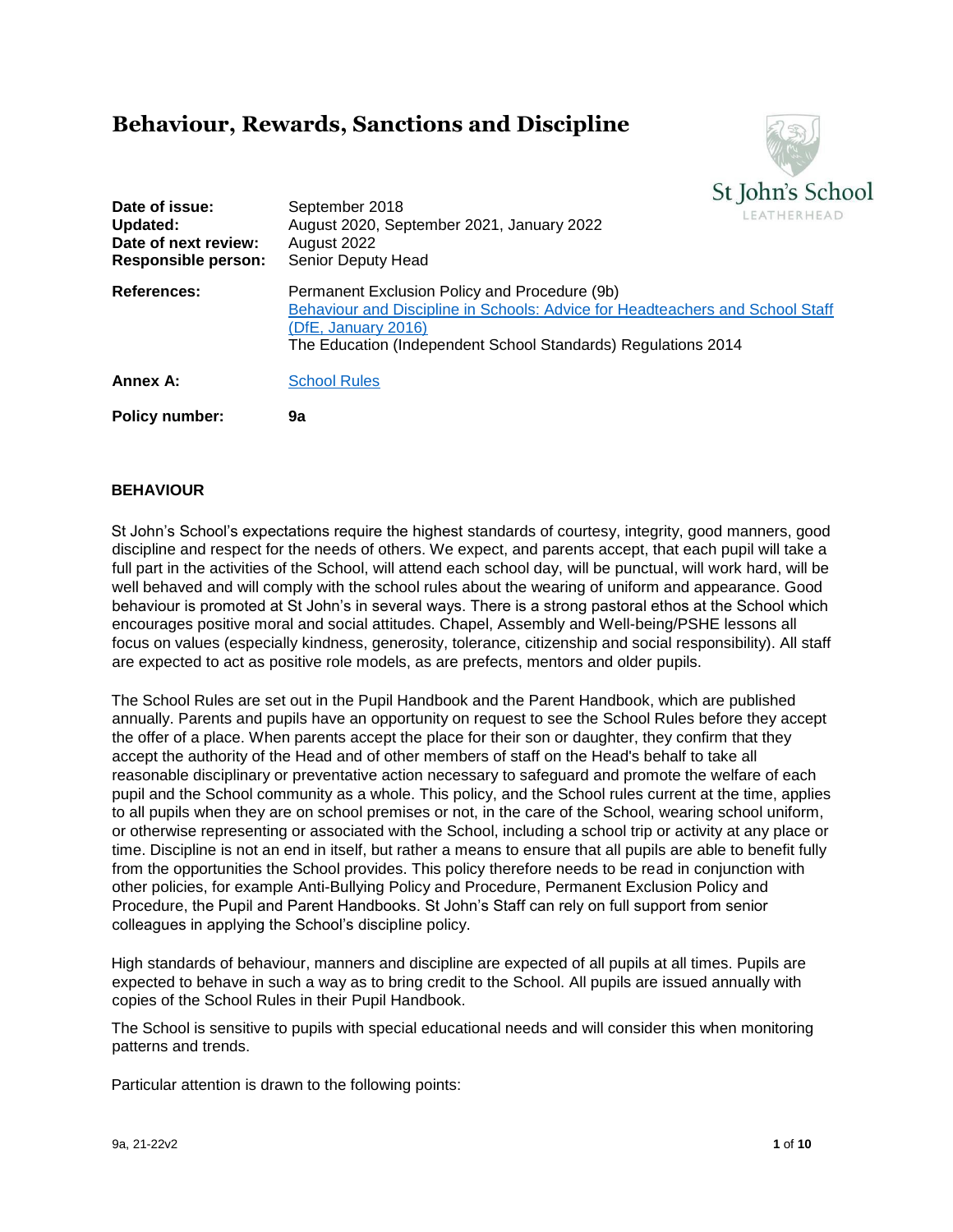# **Behaviour, Rewards, Sanctions and Discipline**



| Date of issue:<br>Updated:<br>Date of next review:<br>Responsible person: | September 2018<br>LEATHERHEAD<br>August 2020, September 2021, January 2022<br>August 2022<br>Senior Deputy Head                                                                                                        |
|---------------------------------------------------------------------------|------------------------------------------------------------------------------------------------------------------------------------------------------------------------------------------------------------------------|
| <b>References:</b>                                                        | Permanent Exclusion Policy and Procedure (9b)<br>Behaviour and Discipline in Schools: Advice for Headteachers and School Staff<br>(DfE, January 2016)<br>The Education (Independent School Standards) Regulations 2014 |
| Annex A:                                                                  | <b>School Rules</b>                                                                                                                                                                                                    |
| <b>Policy number:</b>                                                     | 9a                                                                                                                                                                                                                     |

# **BEHAVIOUR**

St John's School's expectations require the highest standards of courtesy, integrity, good manners, good discipline and respect for the needs of others. We expect, and parents accept, that each pupil will take a full part in the activities of the School, will attend each school day, will be punctual, will work hard, will be well behaved and will comply with the school rules about the wearing of uniform and appearance. Good behaviour is promoted at St John's in several ways. There is a strong pastoral ethos at the School which encourages positive moral and social attitudes. Chapel, Assembly and Well-being/PSHE lessons all focus on values (especially kindness, generosity, tolerance, citizenship and social responsibility). All staff are expected to act as positive role models, as are prefects, mentors and older pupils.

The School Rules are set out in the Pupil Handbook and the Parent Handbook, which are published annually. Parents and pupils have an opportunity on request to see the School Rules before they accept the offer of a place. When parents accept the place for their son or daughter, they confirm that they accept the authority of the Head and of other members of staff on the Head's behalf to take all reasonable disciplinary or preventative action necessary to safeguard and promote the welfare of each pupil and the School community as a whole. This policy, and the School rules current at the time, applies to all pupils when they are on school premises or not, in the care of the School, wearing school uniform, or otherwise representing or associated with the School, including a school trip or activity at any place or time. Discipline is not an end in itself, but rather a means to ensure that all pupils are able to benefit fully from the opportunities the School provides. This policy therefore needs to be read in conjunction with other policies, for example Anti-Bullying Policy and Procedure, Permanent Exclusion Policy and Procedure, the Pupil and Parent Handbooks. St John's Staff can rely on full support from senior colleagues in applying the School's discipline policy.

High standards of behaviour, manners and discipline are expected of all pupils at all times. Pupils are expected to behave in such a way as to bring credit to the School. All pupils are issued annually with copies of the School Rules in their Pupil Handbook.

The School is sensitive to pupils with special educational needs and will consider this when monitoring patterns and trends.

Particular attention is drawn to the following points: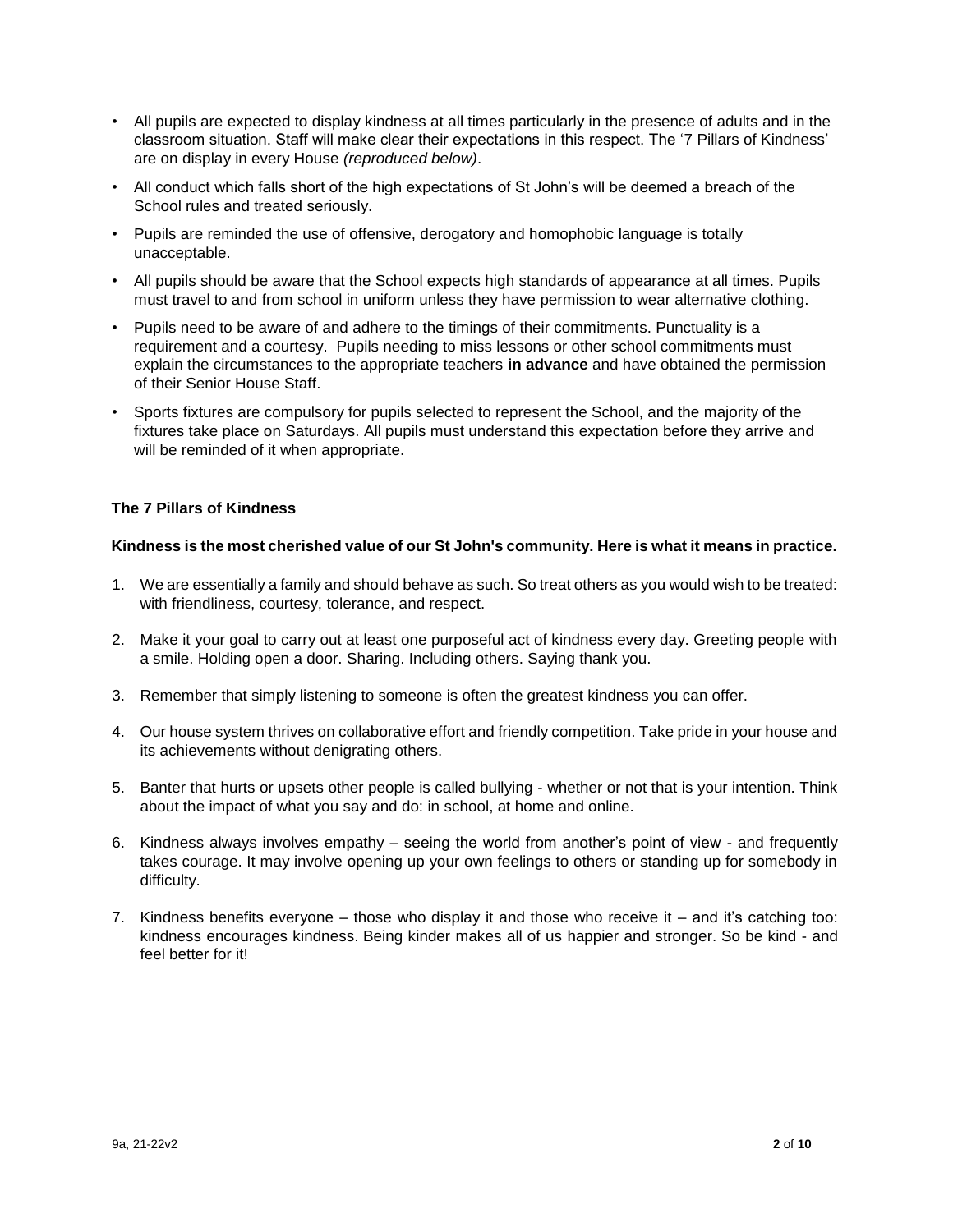- All pupils are expected to display kindness at all times particularly in the presence of adults and in the classroom situation. Staff will make clear their expectations in this respect. The '7 Pillars of Kindness' are on display in every House *(reproduced below)*.
- All conduct which falls short of the high expectations of St John's will be deemed a breach of the School rules and treated seriously.
- Pupils are reminded the use of offensive, derogatory and homophobic language is totally unacceptable.
- All pupils should be aware that the School expects high standards of appearance at all times. Pupils must travel to and from school in uniform unless they have permission to wear alternative clothing.
- Pupils need to be aware of and adhere to the timings of their commitments. Punctuality is a requirement and a courtesy. Pupils needing to miss lessons or other school commitments must explain the circumstances to the appropriate teachers **in advance** and have obtained the permission of their Senior House Staff.
- Sports fixtures are compulsory for pupils selected to represent the School, and the majority of the fixtures take place on Saturdays. All pupils must understand this expectation before they arrive and will be reminded of it when appropriate.

## **The 7 Pillars of Kindness**

#### **Kindness is the most cherished value of our St John's community. Here is what it means in practice.**

- 1. We are essentially a family and should behave as such. So treat others as you would wish to be treated: with friendliness, courtesy, tolerance, and respect.
- 2. Make it your goal to carry out at least one purposeful act of kindness every day. Greeting people with a smile. Holding open a door. Sharing. Including others. Saying thank you.
- 3. Remember that simply listening to someone is often the greatest kindness you can offer.
- 4. Our house system thrives on collaborative effort and friendly competition. Take pride in your house and its achievements without denigrating others.
- 5. Banter that hurts or upsets other people is called bullying whether or not that is your intention. Think about the impact of what you say and do: in school, at home and online.
- 6. Kindness always involves empathy seeing the world from another's point of view and frequently takes courage. It may involve opening up your own feelings to others or standing up for somebody in difficulty.
- 7. Kindness benefits everyone those who display it and those who receive it and it's catching too: kindness encourages kindness. Being kinder makes all of us happier and stronger. So be kind - and feel better for it!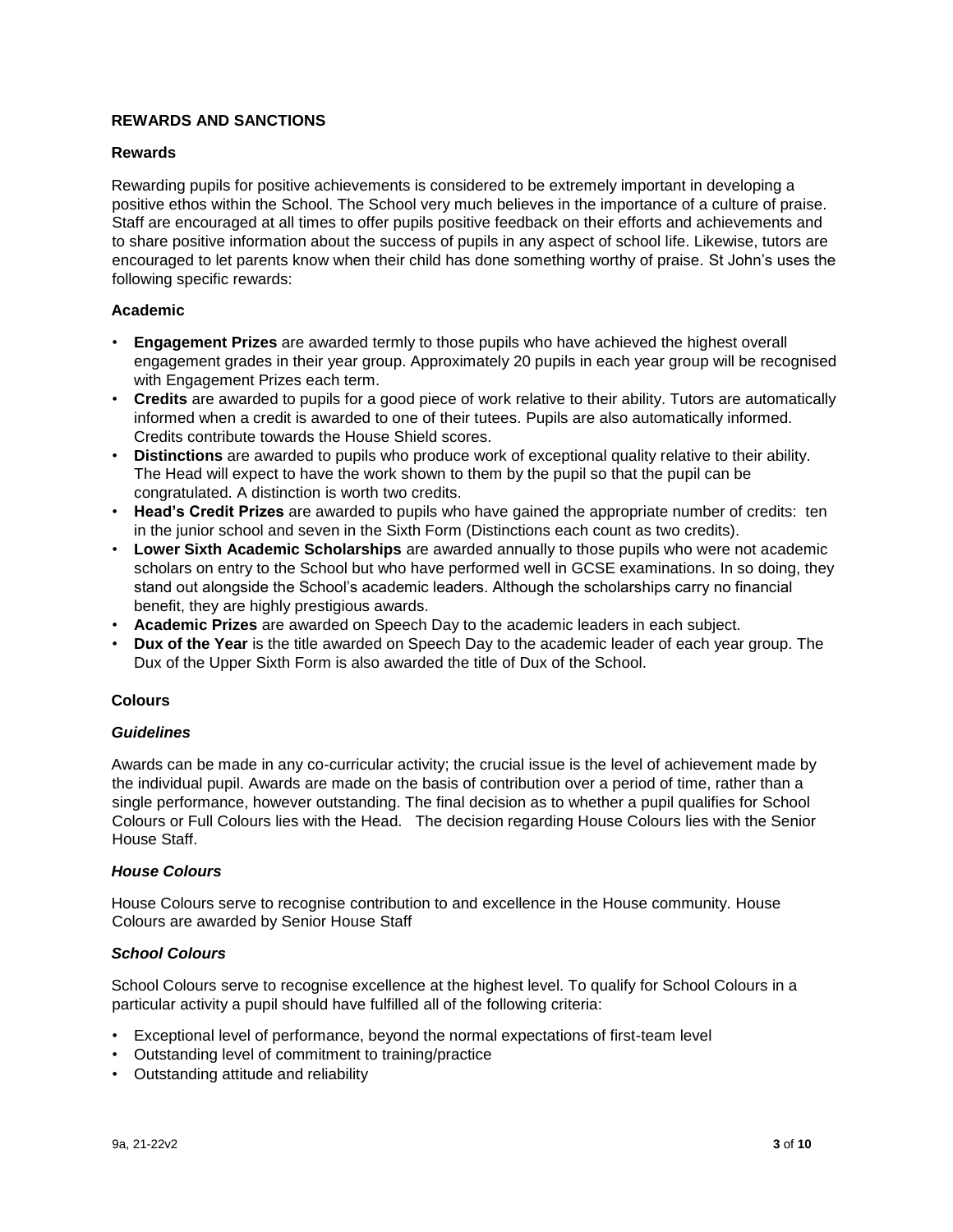# **REWARDS AND SANCTIONS**

## **Rewards**

Rewarding pupils for positive achievements is considered to be extremely important in developing a positive ethos within the School. The School very much believes in the importance of a culture of praise. Staff are encouraged at all times to offer pupils positive feedback on their efforts and achievements and to share positive information about the success of pupils in any aspect of school life. Likewise, tutors are encouraged to let parents know when their child has done something worthy of praise. St John's uses the following specific rewards:

## **Academic**

- **Engagement Prizes** are awarded termly to those pupils who have achieved the highest overall engagement grades in their year group. Approximately 20 pupils in each year group will be recognised with Engagement Prizes each term.
- **Credits** are awarded to pupils for a good piece of work relative to their ability. Tutors are automatically informed when a credit is awarded to one of their tutees. Pupils are also automatically informed. Credits contribute towards the House Shield scores.
- **Distinctions** are awarded to pupils who produce work of exceptional quality relative to their ability. The Head will expect to have the work shown to them by the pupil so that the pupil can be congratulated. A distinction is worth two credits.
- **Head's Credit Prizes** are awarded to pupils who have gained the appropriate number of credits: ten in the junior school and seven in the Sixth Form (Distinctions each count as two credits).
- **Lower Sixth Academic Scholarships** are awarded annually to those pupils who were not academic scholars on entry to the School but who have performed well in GCSE examinations. In so doing, they stand out alongside the School's academic leaders. Although the scholarships carry no financial benefit, they are highly prestigious awards.
- **Academic Prizes** are awarded on Speech Day to the academic leaders in each subject.
- **Dux of the Year** is the title awarded on Speech Day to the academic leader of each year group. The Dux of the Upper Sixth Form is also awarded the title of Dux of the School.

# **Colours**

#### *Guidelines*

Awards can be made in any co-curricular activity; the crucial issue is the level of achievement made by the individual pupil. Awards are made on the basis of contribution over a period of time, rather than a single performance, however outstanding. The final decision as to whether a pupil qualifies for School Colours or Full Colours lies with the Head. The decision regarding House Colours lies with the Senior House Staff.

#### *House Colours*

House Colours serve to recognise contribution to and excellence in the House community. House Colours are awarded by Senior House Staff

#### *School Colours*

School Colours serve to recognise excellence at the highest level. To qualify for School Colours in a particular activity a pupil should have fulfilled all of the following criteria:

- Exceptional level of performance, beyond the normal expectations of first-team level
- Outstanding level of commitment to training/practice
- Outstanding attitude and reliability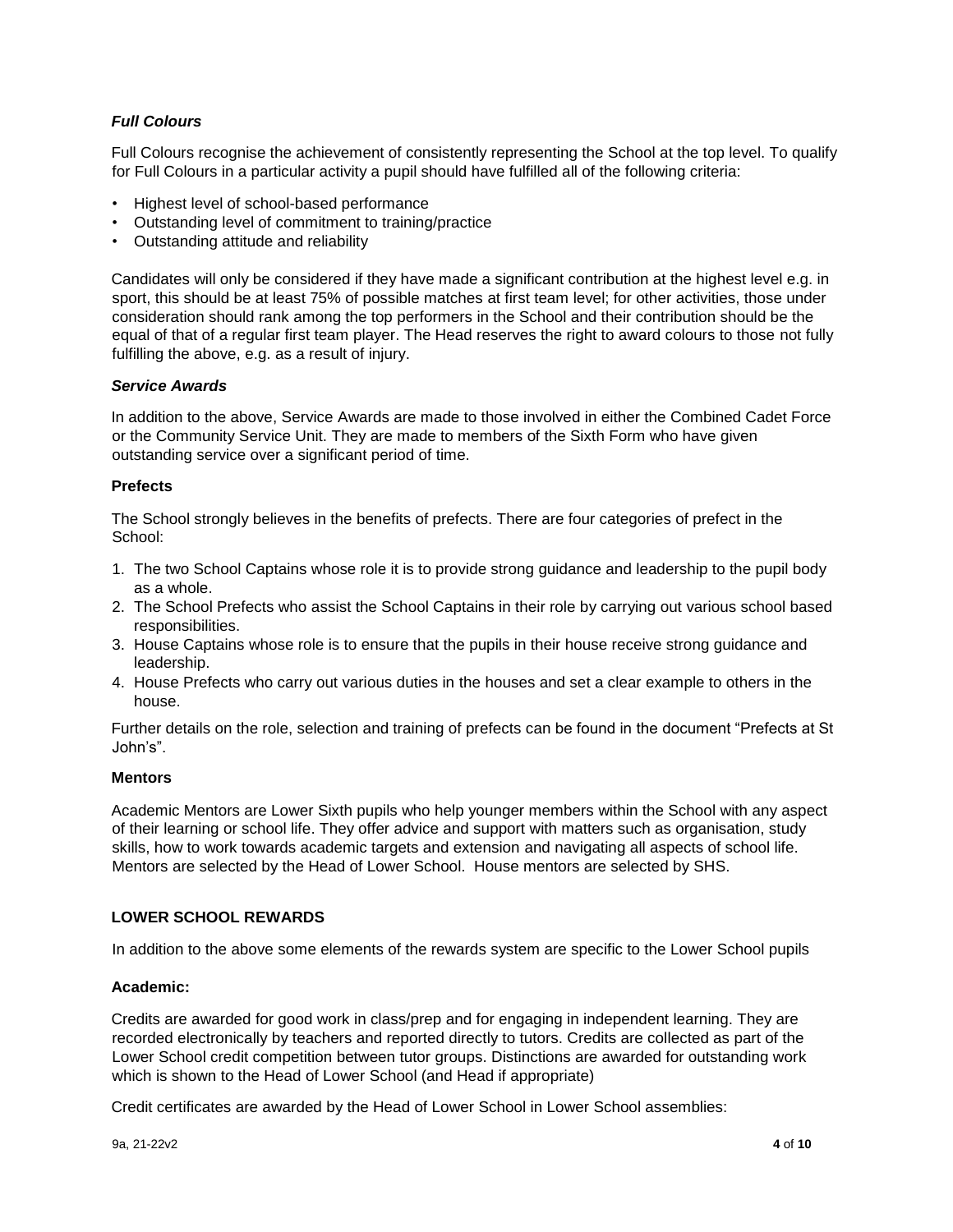# *Full Colours*

Full Colours recognise the achievement of consistently representing the School at the top level. To qualify for Full Colours in a particular activity a pupil should have fulfilled all of the following criteria:

- Highest level of school-based performance
- Outstanding level of commitment to training/practice
- Outstanding attitude and reliability

Candidates will only be considered if they have made a significant contribution at the highest level e.g. in sport, this should be at least 75% of possible matches at first team level; for other activities, those under consideration should rank among the top performers in the School and their contribution should be the equal of that of a regular first team player. The Head reserves the right to award colours to those not fully fulfilling the above, e.g. as a result of injury.

#### *Service Awards*

In addition to the above, Service Awards are made to those involved in either the Combined Cadet Force or the Community Service Unit. They are made to members of the Sixth Form who have given outstanding service over a significant period of time.

## **Prefects**

The School strongly believes in the benefits of prefects. There are four categories of prefect in the School:

- 1. The two School Captains whose role it is to provide strong guidance and leadership to the pupil body as a whole.
- 2. The School Prefects who assist the School Captains in their role by carrying out various school based responsibilities.
- 3. House Captains whose role is to ensure that the pupils in their house receive strong guidance and leadership.
- 4. House Prefects who carry out various duties in the houses and set a clear example to others in the house.

Further details on the role, selection and training of prefects can be found in the document "Prefects at St John's".

## **Mentors**

Academic Mentors are Lower Sixth pupils who help younger members within the School with any aspect of their learning or school life. They offer advice and support with matters such as organisation, study skills, how to work towards academic targets and extension and navigating all aspects of school life. Mentors are selected by the Head of Lower School. House mentors are selected by SHS.

# **LOWER SCHOOL REWARDS**

In addition to the above some elements of the rewards system are specific to the Lower School pupils

#### **Academic:**

Credits are awarded for good work in class/prep and for engaging in independent learning. They are recorded electronically by teachers and reported directly to tutors. Credits are collected as part of the Lower School credit competition between tutor groups. Distinctions are awarded for outstanding work which is shown to the Head of Lower School (and Head if appropriate)

Credit certificates are awarded by the Head of Lower School in Lower School assemblies: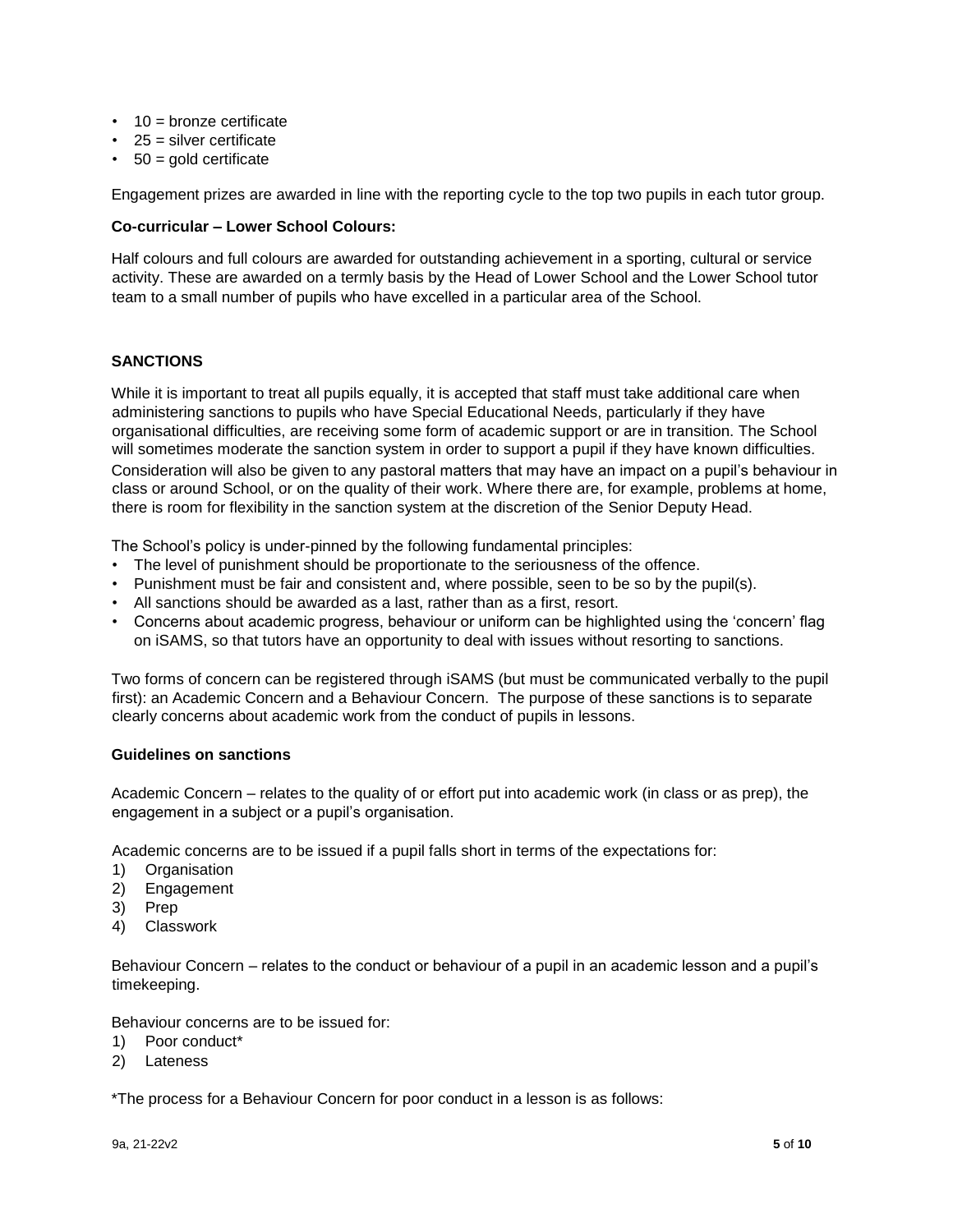- $\cdot$  10 = bronze certificate
- 25 = silver certificate
- $\cdot$  50 = gold certificate

Engagement prizes are awarded in line with the reporting cycle to the top two pupils in each tutor group.

#### **Co-curricular – Lower School Colours:**

Half colours and full colours are awarded for outstanding achievement in a sporting, cultural or service activity. These are awarded on a termly basis by the Head of Lower School and the Lower School tutor team to a small number of pupils who have excelled in a particular area of the School.

## **SANCTIONS**

While it is important to treat all pupils equally, it is accepted that staff must take additional care when administering sanctions to pupils who have Special Educational Needs, particularly if they have organisational difficulties, are receiving some form of academic support or are in transition. The School will sometimes moderate the sanction system in order to support a pupil if they have known difficulties. Consideration will also be given to any pastoral matters that may have an impact on a pupil's behaviour in class or around School, or on the quality of their work. Where there are, for example, problems at home, there is room for flexibility in the sanction system at the discretion of the Senior Deputy Head.

The School's policy is under-pinned by the following fundamental principles:

- The level of punishment should be proportionate to the seriousness of the offence.
- Punishment must be fair and consistent and, where possible, seen to be so by the pupil(s).
- All sanctions should be awarded as a last, rather than as a first, resort.
- Concerns about academic progress, behaviour or uniform can be highlighted using the 'concern' flag on iSAMS, so that tutors have an opportunity to deal with issues without resorting to sanctions.

Two forms of concern can be registered through iSAMS (but must be communicated verbally to the pupil first): an Academic Concern and a Behaviour Concern. The purpose of these sanctions is to separate clearly concerns about academic work from the conduct of pupils in lessons.

#### **Guidelines on sanctions**

Academic Concern – relates to the quality of or effort put into academic work (in class or as prep), the engagement in a subject or a pupil's organisation.

Academic concerns are to be issued if a pupil falls short in terms of the expectations for:

- 1) Organisation
- 2) Engagement
- 3) Prep
- 4) Classwork

Behaviour Concern – relates to the conduct or behaviour of a pupil in an academic lesson and a pupil's timekeeping.

Behaviour concerns are to be issued for:

- 1) Poor conduct\*
- 2) Lateness

\*The process for a Behaviour Concern for poor conduct in a lesson is as follows: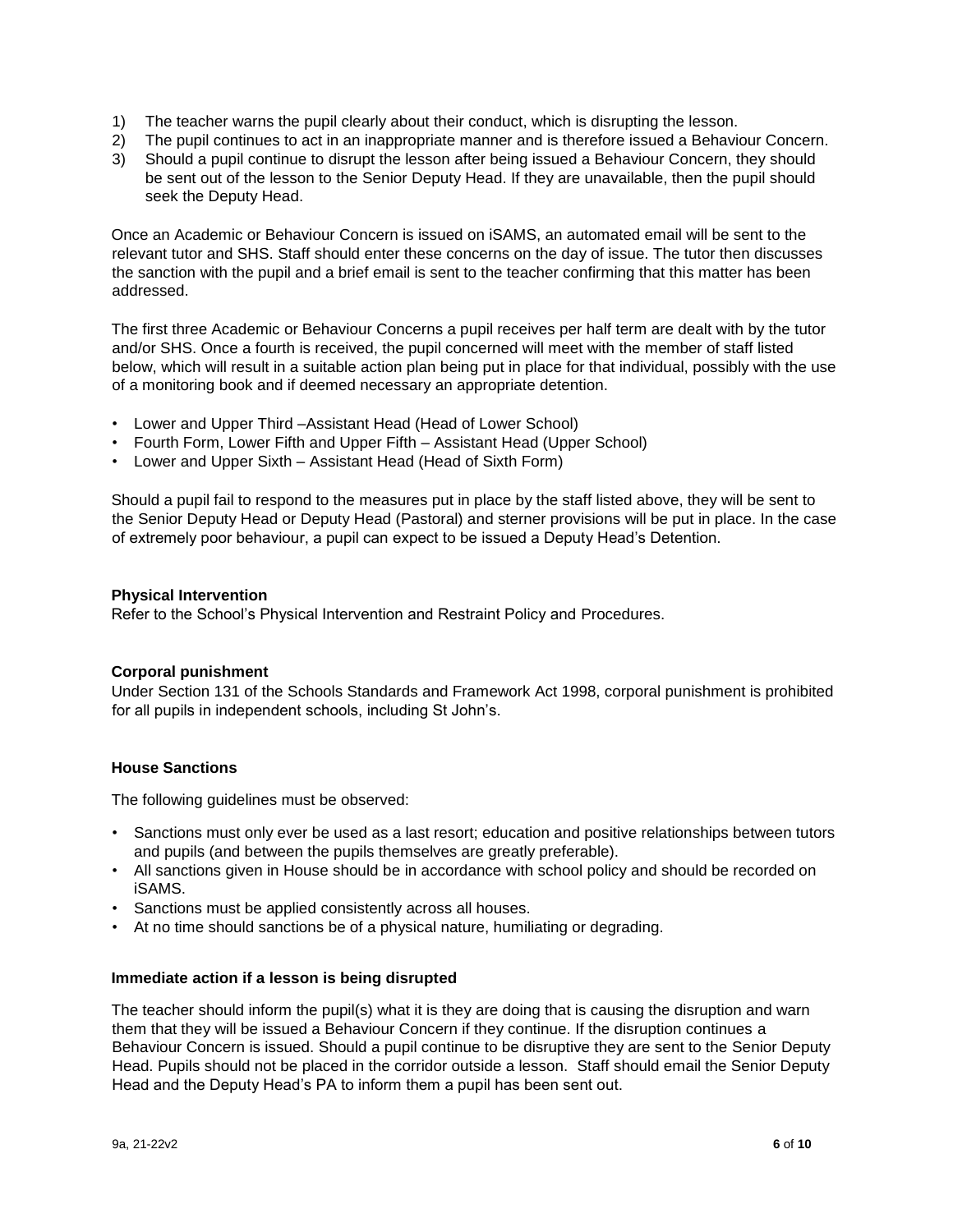- 1) The teacher warns the pupil clearly about their conduct, which is disrupting the lesson.
- 2) The pupil continues to act in an inappropriate manner and is therefore issued a Behaviour Concern.
- 3) Should a pupil continue to disrupt the lesson after being issued a Behaviour Concern, they should be sent out of the lesson to the Senior Deputy Head. If they are unavailable, then the pupil should seek the Deputy Head.

Once an Academic or Behaviour Concern is issued on iSAMS, an automated email will be sent to the relevant tutor and SHS. Staff should enter these concerns on the day of issue. The tutor then discusses the sanction with the pupil and a brief email is sent to the teacher confirming that this matter has been addressed.

The first three Academic or Behaviour Concerns a pupil receives per half term are dealt with by the tutor and/or SHS. Once a fourth is received, the pupil concerned will meet with the member of staff listed below, which will result in a suitable action plan being put in place for that individual, possibly with the use of a monitoring book and if deemed necessary an appropriate detention.

- Lower and Upper Third –Assistant Head (Head of Lower School)
- Fourth Form, Lower Fifth and Upper Fifth Assistant Head (Upper School)
- Lower and Upper Sixth Assistant Head (Head of Sixth Form)

Should a pupil fail to respond to the measures put in place by the staff listed above, they will be sent to the Senior Deputy Head or Deputy Head (Pastoral) and sterner provisions will be put in place. In the case of extremely poor behaviour, a pupil can expect to be issued a Deputy Head's Detention.

#### **Physical Intervention**

Refer to the School's Physical Intervention and Restraint Policy and Procedures.

#### **Corporal punishment**

Under Section 131 of the Schools Standards and Framework Act 1998, corporal punishment is prohibited for all pupils in independent schools, including St John's.

#### **House Sanctions**

The following guidelines must be observed:

- Sanctions must only ever be used as a last resort; education and positive relationships between tutors and pupils (and between the pupils themselves are greatly preferable).
- All sanctions given in House should be in accordance with school policy and should be recorded on iSAMS.
- Sanctions must be applied consistently across all houses.
- At no time should sanctions be of a physical nature, humiliating or degrading.

#### **Immediate action if a lesson is being disrupted**

The teacher should inform the pupil(s) what it is they are doing that is causing the disruption and warn them that they will be issued a Behaviour Concern if they continue. If the disruption continues a Behaviour Concern is issued. Should a pupil continue to be disruptive they are sent to the Senior Deputy Head. Pupils should not be placed in the corridor outside a lesson. Staff should email the Senior Deputy Head and the Deputy Head's PA to inform them a pupil has been sent out.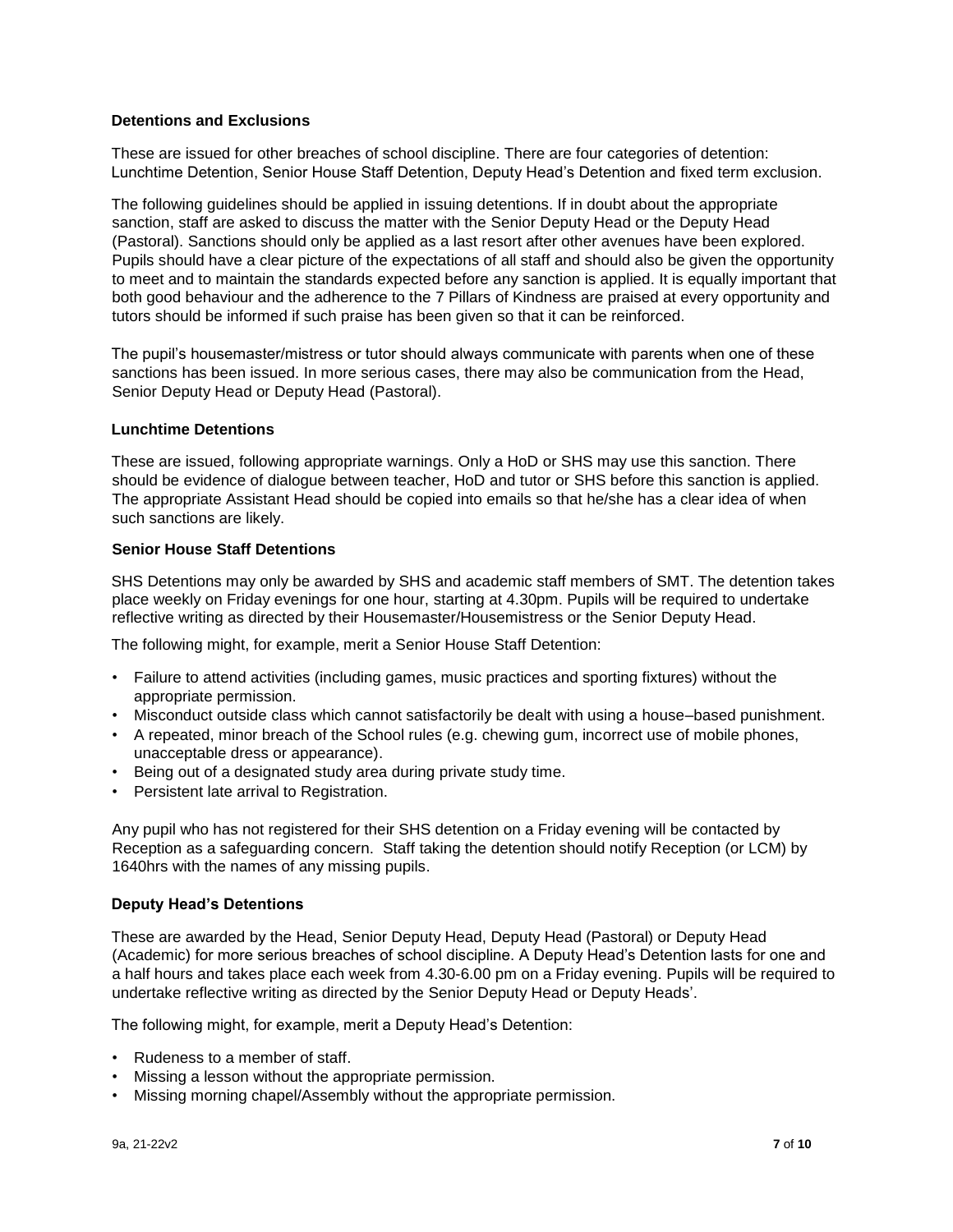## **Detentions and Exclusions**

These are issued for other breaches of school discipline. There are four categories of detention: Lunchtime Detention, Senior House Staff Detention, Deputy Head's Detention and fixed term exclusion.

The following guidelines should be applied in issuing detentions. If in doubt about the appropriate sanction, staff are asked to discuss the matter with the Senior Deputy Head or the Deputy Head (Pastoral). Sanctions should only be applied as a last resort after other avenues have been explored. Pupils should have a clear picture of the expectations of all staff and should also be given the opportunity to meet and to maintain the standards expected before any sanction is applied. It is equally important that both good behaviour and the adherence to the 7 Pillars of Kindness are praised at every opportunity and tutors should be informed if such praise has been given so that it can be reinforced.

The pupil's housemaster/mistress or tutor should always communicate with parents when one of these sanctions has been issued. In more serious cases, there may also be communication from the Head, Senior Deputy Head or Deputy Head (Pastoral).

#### **Lunchtime Detentions**

These are issued, following appropriate warnings. Only a HoD or SHS may use this sanction. There should be evidence of dialogue between teacher, HoD and tutor or SHS before this sanction is applied. The appropriate Assistant Head should be copied into emails so that he/she has a clear idea of when such sanctions are likely.

## **Senior House Staff Detentions**

SHS Detentions may only be awarded by SHS and academic staff members of SMT. The detention takes place weekly on Friday evenings for one hour, starting at 4.30pm. Pupils will be required to undertake reflective writing as directed by their Housemaster/Housemistress or the Senior Deputy Head.

The following might, for example, merit a Senior House Staff Detention:

- Failure to attend activities (including games, music practices and sporting fixtures) without the appropriate permission.
- Misconduct outside class which cannot satisfactorily be dealt with using a house–based punishment.
- A repeated, minor breach of the School rules (e.g. chewing gum, incorrect use of mobile phones, unacceptable dress or appearance).
- Being out of a designated study area during private study time.
- Persistent late arrival to Registration.

Any pupil who has not registered for their SHS detention on a Friday evening will be contacted by Reception as a safeguarding concern. Staff taking the detention should notify Reception (or LCM) by 1640hrs with the names of any missing pupils.

#### **Deputy Head's Detentions**

These are awarded by the Head, Senior Deputy Head, Deputy Head (Pastoral) or Deputy Head (Academic) for more serious breaches of school discipline. A Deputy Head's Detention lasts for one and a half hours and takes place each week from 4.30-6.00 pm on a Friday evening. Pupils will be required to undertake reflective writing as directed by the Senior Deputy Head or Deputy Heads'.

The following might, for example, merit a Deputy Head's Detention:

- Rudeness to a member of staff.
- Missing a lesson without the appropriate permission.
- Missing morning chapel/Assembly without the appropriate permission.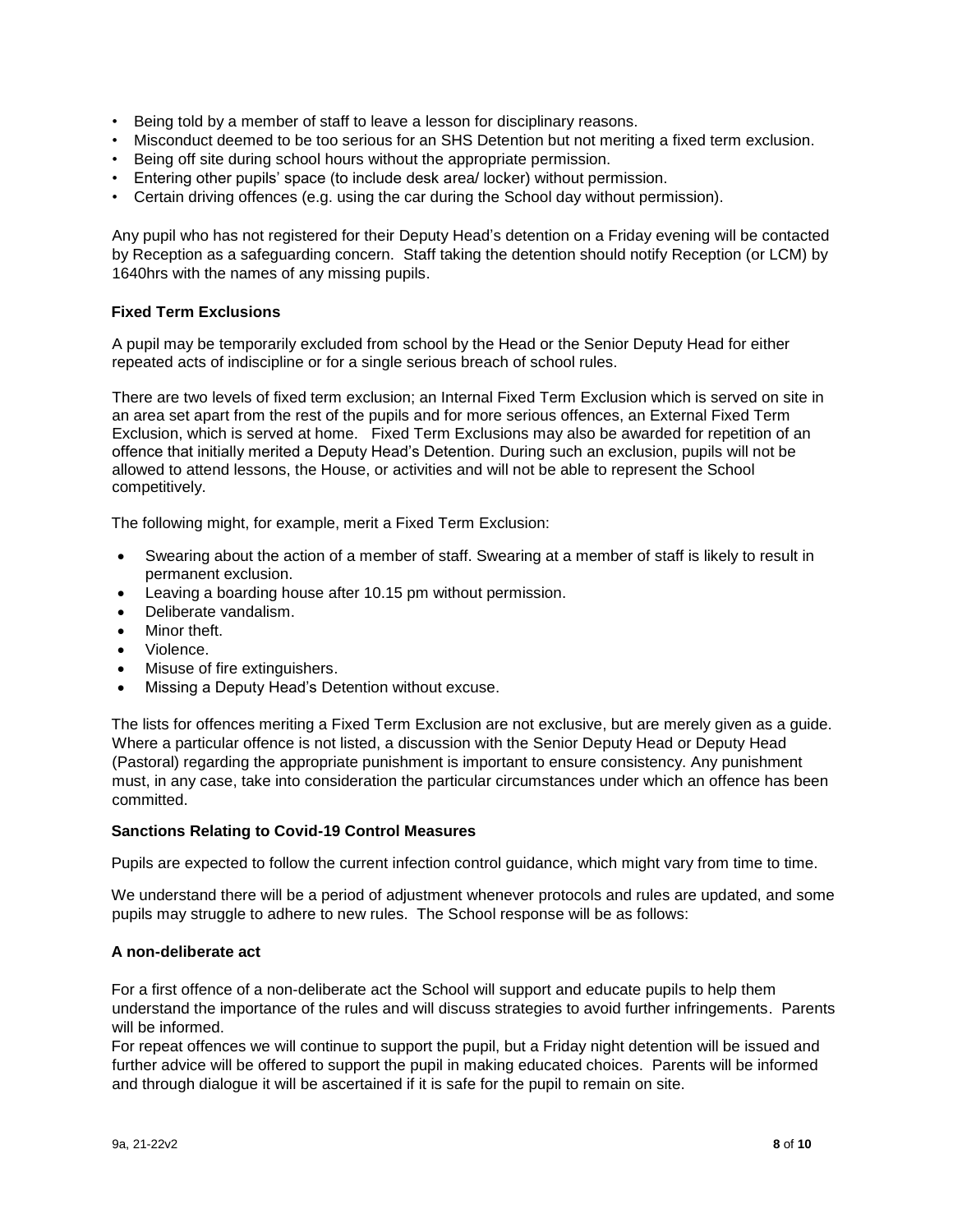- Being told by a member of staff to leave a lesson for disciplinary reasons.
- Misconduct deemed to be too serious for an SHS Detention but not meriting a fixed term exclusion.
- Being off site during school hours without the appropriate permission.
- Entering other pupils' space (to include desk area/ locker) without permission.
- Certain driving offences (e.g. using the car during the School day without permission).

Any pupil who has not registered for their Deputy Head's detention on a Friday evening will be contacted by Reception as a safeguarding concern. Staff taking the detention should notify Reception (or LCM) by 1640hrs with the names of any missing pupils.

#### **Fixed Term Exclusions**

A pupil may be temporarily excluded from school by the Head or the Senior Deputy Head for either repeated acts of indiscipline or for a single serious breach of school rules.

There are two levels of fixed term exclusion; an Internal Fixed Term Exclusion which is served on site in an area set apart from the rest of the pupils and for more serious offences, an External Fixed Term Exclusion, which is served at home. Fixed Term Exclusions may also be awarded for repetition of an offence that initially merited a Deputy Head's Detention. During such an exclusion, pupils will not be allowed to attend lessons, the House, or activities and will not be able to represent the School competitively.

The following might, for example, merit a Fixed Term Exclusion:

- Swearing about the action of a member of staff. Swearing at a member of staff is likely to result in permanent exclusion.
- Leaving a boarding house after 10.15 pm without permission.
- Deliberate vandalism.
- Minor theft.
- Violence.
- Misuse of fire extinguishers.
- Missing a Deputy Head's Detention without excuse.

The lists for offences meriting a Fixed Term Exclusion are not exclusive, but are merely given as a guide. Where a particular offence is not listed, a discussion with the Senior Deputy Head or Deputy Head (Pastoral) regarding the appropriate punishment is important to ensure consistency. Any punishment must, in any case, take into consideration the particular circumstances under which an offence has been committed.

#### **Sanctions Relating to Covid-19 Control Measures**

Pupils are expected to follow the current infection control guidance, which might vary from time to time.

We understand there will be a period of adjustment whenever protocols and rules are updated, and some pupils may struggle to adhere to new rules. The School response will be as follows:

#### **A non-deliberate act**

For a first offence of a non-deliberate act the School will support and educate pupils to help them understand the importance of the rules and will discuss strategies to avoid further infringements. Parents will be informed.

For repeat offences we will continue to support the pupil, but a Friday night detention will be issued and further advice will be offered to support the pupil in making educated choices. Parents will be informed and through dialogue it will be ascertained if it is safe for the pupil to remain on site.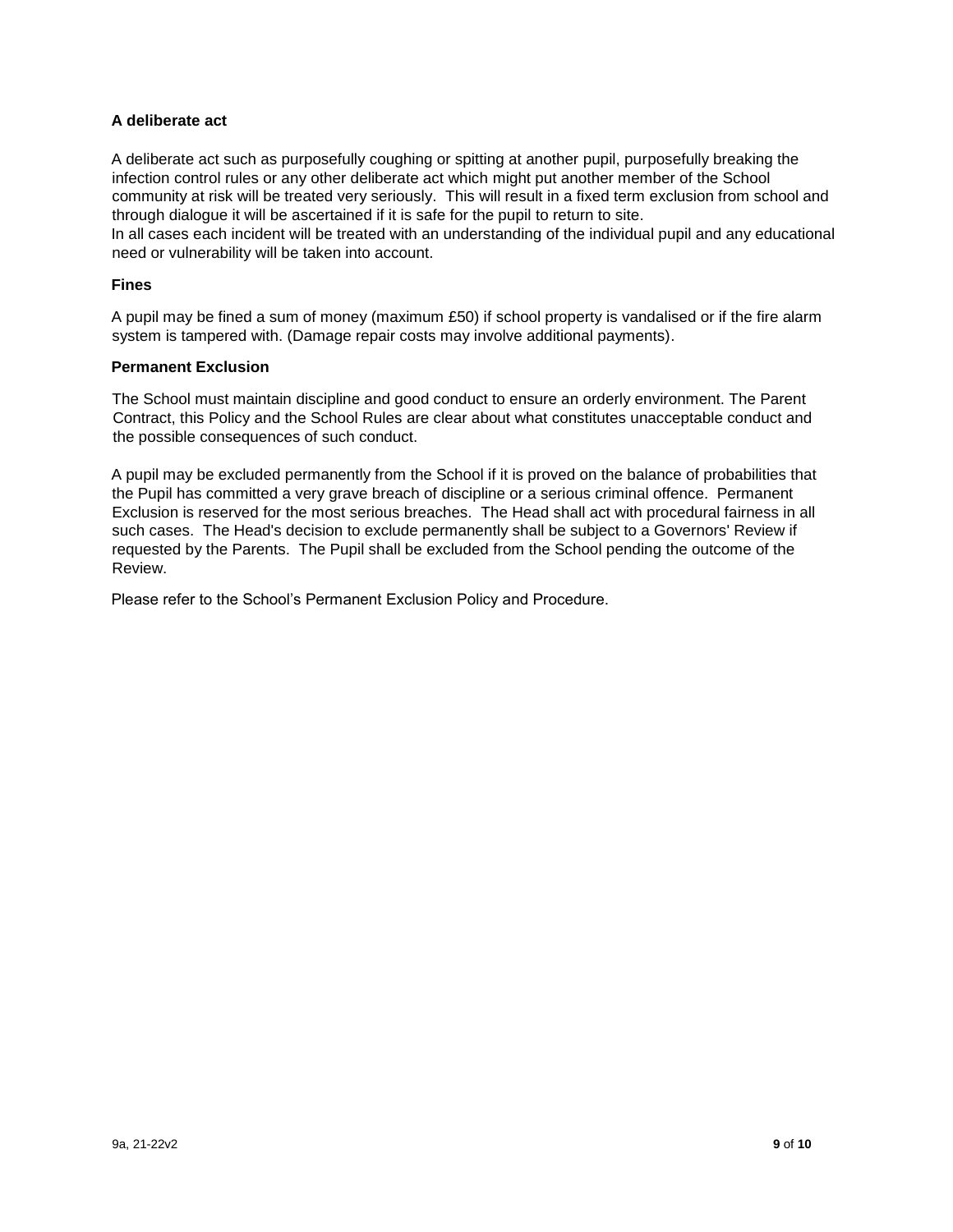## **A deliberate act**

A deliberate act such as purposefully coughing or spitting at another pupil, purposefully breaking the infection control rules or any other deliberate act which might put another member of the School community at risk will be treated very seriously. This will result in a fixed term exclusion from school and through dialogue it will be ascertained if it is safe for the pupil to return to site.

In all cases each incident will be treated with an understanding of the individual pupil and any educational need or vulnerability will be taken into account.

#### **Fines**

A pupil may be fined a sum of money (maximum £50) if school property is vandalised or if the fire alarm system is tampered with. (Damage repair costs may involve additional payments).

#### **Permanent Exclusion**

The School must maintain discipline and good conduct to ensure an orderly environment. The Parent Contract, this Policy and the School Rules are clear about what constitutes unacceptable conduct and the possible consequences of such conduct.

A pupil may be excluded permanently from the School if it is proved on the balance of probabilities that the Pupil has committed a very grave breach of discipline or a serious criminal offence. Permanent Exclusion is reserved for the most serious breaches. The Head shall act with procedural fairness in all such cases. The Head's decision to exclude permanently shall be subject to a Governors' Review if requested by the Parents. The Pupil shall be excluded from the School pending the outcome of the Review.

Please refer to the School's Permanent Exclusion Policy and Procedure.